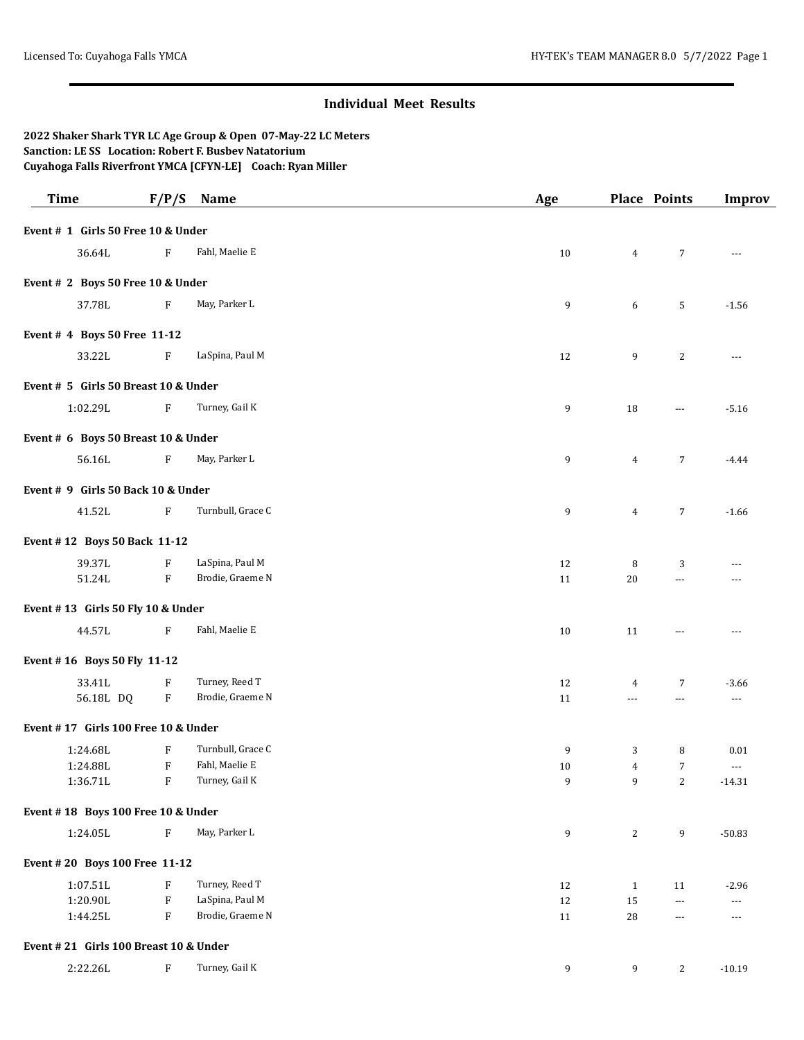## **Individual Meet Results**

## **2022 Shaker Shark TYR LC Age Group & Open 07-May-22 LC Meters Sanction: LE SS Location: Robert F. Busbey Natatorium Cuyahoga Falls Riverfront YMCA [CFYN-LE] Coach: Ryan Miller**

| <b>Time</b>                           | F/P/S                     | Name              | Age    |                | Place Points         | <b>Improv</b>        |
|---------------------------------------|---------------------------|-------------------|--------|----------------|----------------------|----------------------|
| Event # 1 Girls 50 Free 10 & Under    |                           |                   |        |                |                      |                      |
| 36.64L                                | F                         | Fahl, Maelie E    | 10     | $\overline{4}$ | 7                    | $\overline{a}$       |
| Event # 2 Boys 50 Free 10 & Under     |                           |                   |        |                |                      |                      |
| 37.78L                                | $\rm F$                   | May, Parker L     | 9      | 6              | 5                    | $-1.56$              |
| Event # 4 Boys 50 Free 11-12          |                           |                   |        |                |                      |                      |
| 33.22L                                | $\boldsymbol{\mathrm{F}}$ | LaSpina, Paul M   | 12     | 9              | 2                    | $\scriptstyle\cdots$ |
| Event # 5 Girls 50 Breast 10 & Under  |                           |                   |        |                |                      |                      |
| 1:02.29L                              | $\boldsymbol{\mathrm{F}}$ | Turney, Gail K    | 9      | 18             | $\cdots$             | $-5.16$              |
| Event # 6 Boys 50 Breast 10 & Under   |                           |                   |        |                |                      |                      |
| 56.16L                                | F                         | May, Parker L     | 9      | $\overline{4}$ | 7                    | $-4.44$              |
| Event # 9 Girls 50 Back 10 & Under    |                           |                   |        |                |                      |                      |
| 41.52L                                | $\boldsymbol{\mathrm{F}}$ | Turnbull, Grace C | 9      | $\overline{4}$ | $\overline{7}$       | $-1.66$              |
| Event #12 Boys 50 Back 11-12          |                           |                   |        |                |                      |                      |
| 39.37L                                | $\rm F$                   | LaSpina, Paul M   | 12     | 8              | 3                    | ---                  |
| 51.24L                                | $\rm F$                   | Brodie, Graeme N  | 11     | $20\,$         | $---$                | ---                  |
| Event #13 Girls 50 Fly 10 & Under     |                           |                   |        |                |                      |                      |
| 44.57L                                | $\mathbf{F}$              | Fahl, Maelie E    | 10     | 11             | $---$                |                      |
| Event #16 Boys 50 Fly 11-12           |                           |                   |        |                |                      |                      |
| 33.41L                                | $\boldsymbol{\mathrm{F}}$ | Turney, Reed T    | 12     | 4              | 7                    | $-3.66$              |
| 56.18L DQ                             | F                         | Brodie, Graeme N  | 11     | $\overline{a}$ | $\cdots$             | $\scriptstyle\cdots$ |
| Event #17 Girls 100 Free 10 & Under   |                           |                   |        |                |                      |                      |
| 1:24.68L                              | F                         | Turnbull, Grace C | 9      | 3              | 8                    | 0.01                 |
| 1:24.88L                              | $\boldsymbol{\mathrm{F}}$ | Fahl, Maelie E    | $10\,$ | $\overline{4}$ | $\overline{7}$       | $\ldots$             |
| 1:36.71L                              | $\, {\bf F} \,$           | Turney, Gail K    | 9      | 9 <sub>o</sub> | $\mathbf{2}$         | $-14.31$             |
| Event #18 Boys 100 Free 10 & Under    |                           |                   |        |                |                      |                      |
| 1:24.05L                              | ${\bf F}$                 | May, Parker L     | 9      | $\overline{c}$ | 9                    | $-50.83$             |
| Event #20 Boys 100 Free 11-12         |                           |                   |        |                |                      |                      |
| 1:07.51L                              | $\boldsymbol{\mathrm{F}}$ | Turney, Reed T    | 12     | $\mathbf{1}$   | 11                   | $-2.96$              |
| 1:20.90L                              | ${\bf F}$                 | LaSpina, Paul M   | 12     | 15             | $\scriptstyle\cdots$ | ---                  |
| 1:44.25L                              | ${\bf F}$                 | Brodie, Graeme N  | 11     | 28             | $\scriptstyle\cdots$ | ---                  |
| Event #21 Girls 100 Breast 10 & Under |                           |                   |        |                |                      |                      |
| 2:22.26L                              | $\mathbf F$               | Turney, Gail K    | 9      | 9              | $\mathbf{2}$         | $-10.19$             |